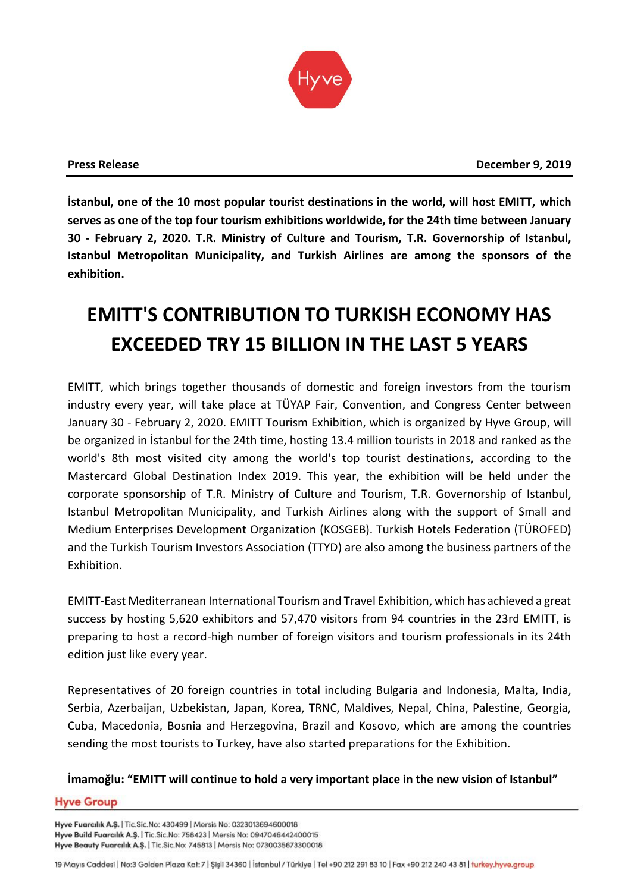

**İstanbul, one of the 10 most popular tourist destinations in the world, will host EMITT, which serves as one of the top four tourism exhibitions worldwide, for the 24th time between January 30 - February 2, 2020. T.R. Ministry of Culture and Tourism, T.R. Governorship of Istanbul, Istanbul Metropolitan Municipality, and Turkish Airlines are among the sponsors of the exhibition.**

# **EMITT'S CONTRIBUTION TO TURKISH ECONOMY HAS EXCEEDED TRY 15 BILLION IN THE LAST 5 YEARS**

EMITT, which brings together thousands of domestic and foreign investors from the tourism industry every year, will take place at TÜYAP Fair, Convention, and Congress Center between January 30 - February 2, 2020. EMITT Tourism Exhibition, which is organized by Hyve Group, will be organized in İstanbul for the 24th time, hosting 13.4 million tourists in 2018 and ranked as the world's 8th most visited city among the world's top tourist destinations, according to the Mastercard Global Destination Index 2019. This year, the exhibition will be held under the corporate sponsorship of T.R. Ministry of Culture and Tourism, T.R. Governorship of Istanbul, Istanbul Metropolitan Municipality, and Turkish Airlines along with the support of Small and Medium Enterprises Development Organization (KOSGEB). Turkish Hotels Federation (TÜROFED) and the Turkish Tourism Investors Association (TTYD) are also among the business partners of the Exhibition.

EMITT-East Mediterranean International Tourism and Travel Exhibition, which has achieved a great success by hosting 5,620 exhibitors and 57,470 visitors from 94 countries in the 23rd EMITT, is preparing to host a record-high number of foreign visitors and tourism professionals in its 24th edition just like every year.

Representatives of 20 foreign countries in total including Bulgaria and Indonesia, Malta, India, Serbia, Azerbaijan, Uzbekistan, Japan, Korea, TRNC, Maldives, Nepal, China, Palestine, Georgia, Cuba, Macedonia, Bosnia and Herzegovina, Brazil and Kosovo, which are among the countries sending the most tourists to Turkey, have also started preparations for the Exhibition.

## **İmamoğlu: "EMITT will continue to hold a very important place in the new vision of Istanbul"**

**Hyve Group** 

Hyve Fuarcılık A.Ş. | Tic.Sic.No: 430499 | Mersis No: 0323013694600018 Hyve Build Fuarcılık A.Ş. | Tic.Sic.No: 758423 | Mersis No: 0947046442400015 Hyve Beauty Fuarcılık A.Ş. | Tic.Sic.No: 745813 | Mersis No: 0730035673300018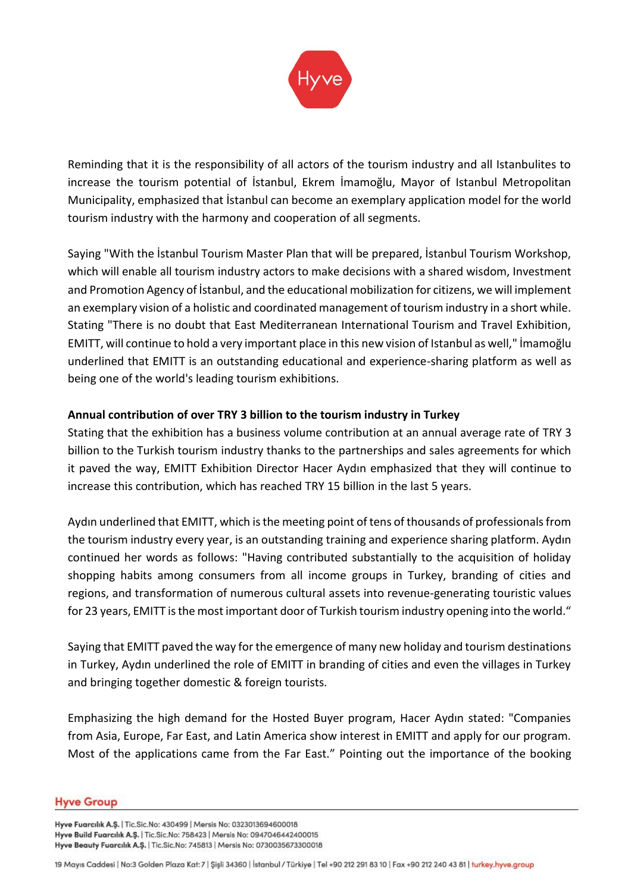

Reminding that it is the responsibility of all actors of the tourism industry and all Istanbulites to increase the tourism potential of İstanbul, Ekrem İmamoğlu, Mayor of Istanbul Metropolitan Municipality, emphasized that İstanbul can become an exemplary application model for the world tourism industry with the harmony and cooperation of all segments.

Saying "With the İstanbul Tourism Master Plan that will be prepared, İstanbul Tourism Workshop, which will enable all tourism industry actors to make decisions with a shared wisdom, Investment and Promotion Agency of İstanbul, and the educational mobilization for citizens, we will implement an exemplary vision of a holistic and coordinated management of tourism industry in a short while. Stating "There is no doubt that East Mediterranean International Tourism and Travel Exhibition, EMITT, will continue to hold a very important place in this new vision of Istanbul as well," İmamoğlu underlined that EMITT is an outstanding educational and experience-sharing platform as well as being one of the world's leading tourism exhibitions.

## **Annual contribution of over TRY 3 billion to the tourism industry in Turkey**

Stating that the exhibition has a business volume contribution at an annual average rate of TRY 3 billion to the Turkish tourism industry thanks to the partnerships and sales agreements for which it paved the way, EMITT Exhibition Director Hacer Aydın emphasized that they will continue to increase this contribution, which has reached TRY 15 billion in the last 5 years.

Aydın underlined that EMITT, which is the meeting point of tens of thousands of professionals from the tourism industry every year, is an outstanding training and experience sharing platform. Aydın continued her words as follows: "Having contributed substantially to the acquisition of holiday shopping habits among consumers from all income groups in Turkey, branding of cities and regions, and transformation of numerous cultural assets into revenue-generating touristic values for 23 years, EMITT is the most important door of Turkish tourism industry opening into the world."

Saying that EMITT paved the way for the emergence of many new holiday and tourism destinations in Turkey, Aydın underlined the role of EMITT in branding of cities and even the villages in Turkey and bringing together domestic & foreign tourists.

Emphasizing the high demand for the Hosted Buyer program, Hacer Aydın stated: "Companies from Asia, Europe, Far East, and Latin America show interest in EMITT and apply for our program. Most of the applications came from the Far East." Pointing out the importance of the booking

#### **Hyve Group**

Hyve Fuarcılık A.Ş. | Tic.Sic.No: 430499 | Mersis No: 0323013694600018 Hyve Build Fuarcılık A.Ş. | Tic.Sic.No: 758423 | Mersis No: 0947046442400015 Hyve Beauty Fuarcılık A.Ş. | Tic.Sic.No: 745813 | Mersis No: 0730035673300018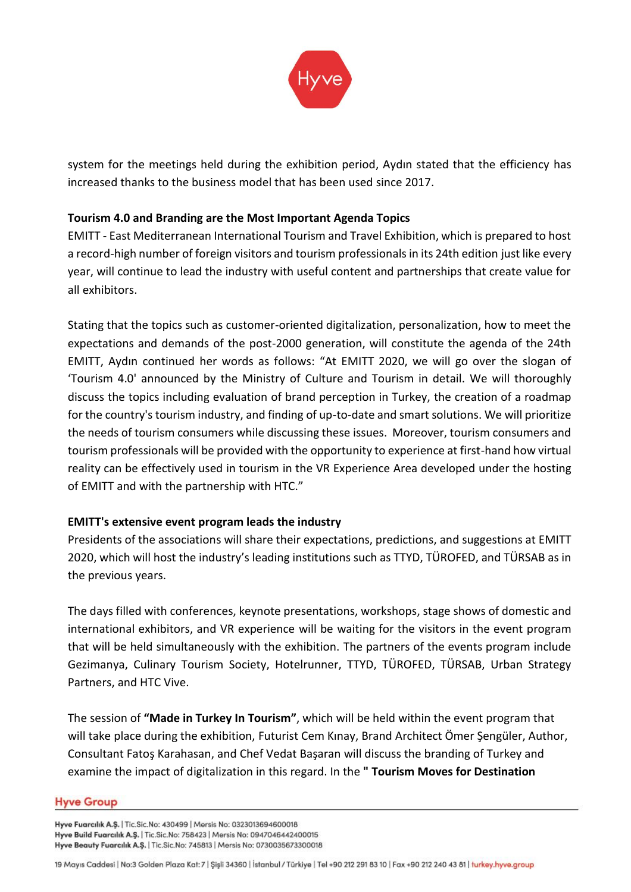

system for the meetings held during the exhibition period, Aydın stated that the efficiency has increased thanks to the business model that has been used since 2017.

## **Tourism 4.0 and Branding are the Most Important Agenda Topics**

EMITT - East Mediterranean International Tourism and Travel Exhibition, which is prepared to host a record-high number of foreign visitors and tourism professionals in its 24th edition just like every year, will continue to lead the industry with useful content and partnerships that create value for all exhibitors.

Stating that the topics such as customer-oriented digitalization, personalization, how to meet the expectations and demands of the post-2000 generation, will constitute the agenda of the 24th EMITT, Aydın continued her words as follows: "At EMITT 2020, we will go over the slogan of 'Tourism 4.0' announced by the Ministry of Culture and Tourism in detail. We will thoroughly discuss the topics including evaluation of brand perception in Turkey, the creation of a roadmap for the country's tourism industry, and finding of up-to-date and smart solutions. We will prioritize the needs of tourism consumers while discussing these issues. Moreover, tourism consumers and tourism professionals will be provided with the opportunity to experience at first-hand how virtual reality can be effectively used in tourism in the VR Experience Area developed under the hosting of EMITT and with the partnership with HTC."

## **EMITT's extensive event program leads the industry**

Presidents of the associations will share their expectations, predictions, and suggestions at EMITT 2020, which will host the industry's leading institutions such as TTYD, TÜROFED, and TÜRSAB as in the previous years.

The days filled with conferences, keynote presentations, workshops, stage shows of domestic and international exhibitors, and VR experience will be waiting for the visitors in the event program that will be held simultaneously with the exhibition. The partners of the events program include Gezimanya, Culinary Tourism Society, Hotelrunner, TTYD, TÜROFED, TÜRSAB, Urban Strategy Partners, and HTC Vive.

The session of **"Made in Turkey In Tourism"**, which will be held within the event program that will take place during the exhibition, Futurist Cem Kınay, Brand Architect Ömer Şengüler, Author, Consultant Fatoş Karahasan, and Chef Vedat Başaran will discuss the branding of Turkey and examine the impact of digitalization in this regard. In the **" Tourism Moves for Destination** 

## **Hyve Group**

Hyve Fuarcılık A.Ş. | Tic.Sic.No: 430499 | Mersis No: 0323013694600018 Hyve Build Fuarcılık A.Ş. | Tic.Sic.No: 758423 | Mersis No: 0947046442400015 Hyve Beauty Fuarcılık A.Ş. | Tic.Sic.No: 745813 | Mersis No: 0730035673300018